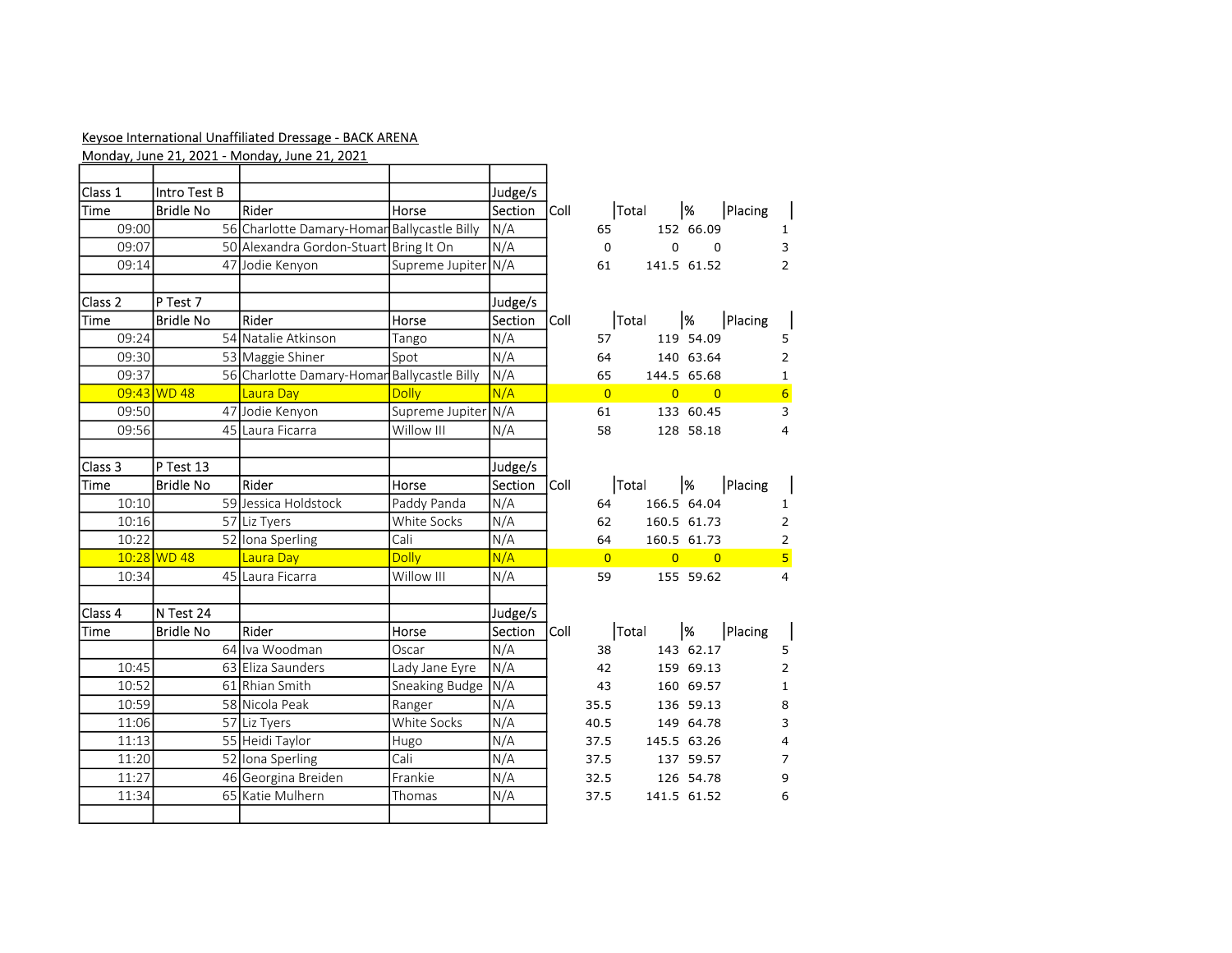## Keysoe International Unaffiliated Dressage - BACK ARENA

|             |                  | Monday, June 21, 2021 - Monday, June 21, 2021 |                     |         |             |                |       |                |               |                |                         |
|-------------|------------------|-----------------------------------------------|---------------------|---------|-------------|----------------|-------|----------------|---------------|----------------|-------------------------|
| Class 1     | Intro Test B     |                                               |                     | Judge/s |             |                |       |                |               |                |                         |
| <b>Time</b> | <b>Bridle No</b> | Rider                                         | Horse               | Section | Coll        |                | Total |                | $\frac{9}{6}$ | Placing        |                         |
| 09:00       |                  | 56 Charlotte Damary-Homan Ballycastle Billy   |                     | N/A     |             | 65             |       |                | 152 66.09     |                | $\mathbf{1}$            |
| 09:07       |                  | 50 Alexandra Gordon-Stuart Bring It On        |                     | N/A     |             | $\mathbf 0$    |       | $\Omega$       |               | $\Omega$       | 3                       |
| 09:14       |                  | 47 Jodie Kenyon                               | Supreme Jupiter N/A |         |             | 61             |       | 141.5 61.52    |               |                | $\overline{2}$          |
| Class 2     | $ P$ Test 7      |                                               |                     | Judge/s |             |                |       |                |               |                |                         |
| Time        | <b>Bridle No</b> | Rider                                         | Horse               | Section | Coll        |                | Total |                | %             | Placing        |                         |
| 09:24       |                  | 54 Natalie Atkinson                           | Tango               | N/A     |             | 57             |       |                | 119 54.09     |                | 5                       |
| 09:30       |                  | 53 Maggie Shiner                              | Spot                | N/A     |             | 64             |       |                | 140 63.64     |                | $\overline{2}$          |
| 09:37       |                  | 56 Charlotte Damary-Homar Ballycastle Billy   |                     | N/A     |             | 65             |       | 144.5 65.68    |               |                | $\mathbf 1$             |
|             | $09:43$ WD 48    | Laura Day                                     | <b>Dolly</b>        | N/A     |             | $\overline{0}$ |       | $\overline{0}$ |               | $\overline{0}$ | $6 \overline{6}$        |
| 09:50       |                  | 47 Jodie Kenyon                               | Supreme Jupiter N/A |         |             | 61             |       |                | 133 60.45     |                | 3                       |
| 09:56       |                  | 45 Laura Ficarra                              | Willow III          | N/A     |             | 58             |       |                | 128 58.18     |                | $\overline{4}$          |
| Class 3     | P Test 13        |                                               |                     | Judge/s |             |                |       |                |               |                |                         |
| Time        | <b>Bridle No</b> | Rider                                         | Horse               | Section | <b>Coll</b> |                | Total |                | $\frac{9}{6}$ | Placing        |                         |
| 10:10       |                  | 59 Jessica Holdstock                          | Paddy Panda         | N/A     |             | 64             |       | 166.5 64.04    |               |                | $\mathbf{1}$            |
| 10:16       |                  | 57 Liz Tyers                                  | White Socks         | N/A     |             | 62             |       | 160.5 61.73    |               |                | $\overline{2}$          |
| 10:22       |                  | 52 Iona Sperling                              | Cali                | N/A     |             | 64             |       | 160.5 61.73    |               |                | $\overline{2}$          |
|             | 10:28 WD 48      | Laura Day                                     | <b>Dolly</b>        | N/A     |             | $\overline{0}$ |       | $\overline{0}$ |               | $\overline{0}$ | $\overline{\mathbf{5}}$ |
| 10:34       |                  | 45 Laura Ficarra                              | Willow III          | N/A     |             | 59             |       |                | 155 59.62     |                | $\overline{4}$          |
| Class 4     | N Test 24        |                                               |                     | Judge/s |             |                |       |                |               |                |                         |
| <b>Time</b> | <b>Bridle No</b> | Rider                                         | Horse               | Section | <b>Coll</b> |                | Total |                | %             | Placing        |                         |
|             |                  | 64 Iva Woodman                                | Oscar               | N/A     |             | 38             |       |                | 143 62.17     |                | 5                       |
| 10:45       |                  | 63 Eliza Saunders                             | Lady Jane Eyre      | N/A     |             | 42             |       |                | 159 69.13     |                | 2                       |
| 10:52       |                  | 61 Rhian Smith                                | Sneaking Budge      | N/A     |             | 43             |       |                | 160 69.57     |                | $\mathbf{1}$            |
| 10:59       |                  | 58 Nicola Peak                                | Ranger              | N/A     |             | 35.5           |       |                | 136 59.13     |                | 8                       |
| 11:06       |                  | 57 Liz Tyers                                  | White Socks         | N/A     |             | 40.5           |       |                | 149 64.78     |                | 3                       |
| 11:13       |                  | 55 Heidi Taylor                               | Hugo                | N/A     |             | 37.5           |       | 145.5 63.26    |               |                | $\overline{\mathbf{4}}$ |
| 11:20       |                  | 52 Iona Sperling                              | Cali                | N/A     |             | 37.5           |       |                | 137 59.57     |                | $\overline{7}$          |
| 11:27       |                  | 46 Georgina Breiden                           | Frankie             | N/A     |             | 32.5           |       |                | 126 54.78     |                | 9                       |
| 11:34       |                  | 65 Katie Mulhern                              | Thomas              | N/A     |             | 37.5           |       | 141.5 61.52    |               |                | 6                       |
|             |                  |                                               |                     |         |             |                |       |                |               |                |                         |